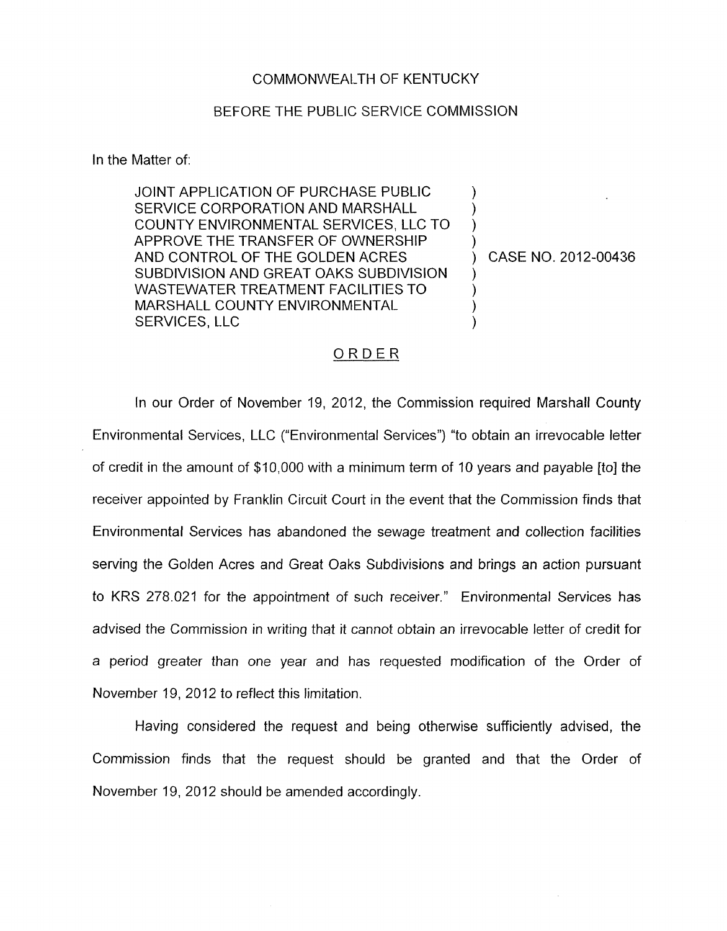## COMMONWEALTH OF KENTUCKY

## BEFORE THE PUBLIC SERVICE COMMISSION

In the Matter of:

JOINT APPLICATION OF PURCHASE PUBLIC SERVICE CORPORATION AND MARSHALL COUNTY ENVIRONMENTAL SERVICES, LLC TO APPROVE THE TRANSFER OF OWNERSHIP AND CONTROL OF THE GOLDEN ACRES SUBDIVISION AND GREAT OAKS SUBDIVISION WASTEWATER TREATMENT FACILITIES TO MARSHALL COUNTY ENVIRONMENTAL SERVICES, LLC

) CASE NO. 2012-00436

) ) ) )

 $\mathcal{Y}$  $\mathcal{E}$ ) )

## ORDER

In our Order of November 19, 2012, the Commission required Marshall County Environmental Services, LLC ("Environmental Services") "to obtain an irrevocable letter of credit in the amount of \$10,000 with a minimum term of 10 years and payable [to] the receiver appointed by Franklin Circuit Court in the event that the Commission finds that Environmental Services has abandoned the sewage treatment and collection facilities serving the Golden Acres and Great Oaks Subdivisions and brings an action pursuant to KRS 278.021 for the appointment of such receiver." Environmental Services has advised the Commission in writing that it cannot obtain an irrevocable letter of credit for a period greater than one year and has requested modification of the Order of November 19, 2012 to reflect this limitation.

Having considered the request and being otherwise sufficiently advised, the Commission finds that the request should be granted and that the Order of November 19, 2012 should be amended accordingly.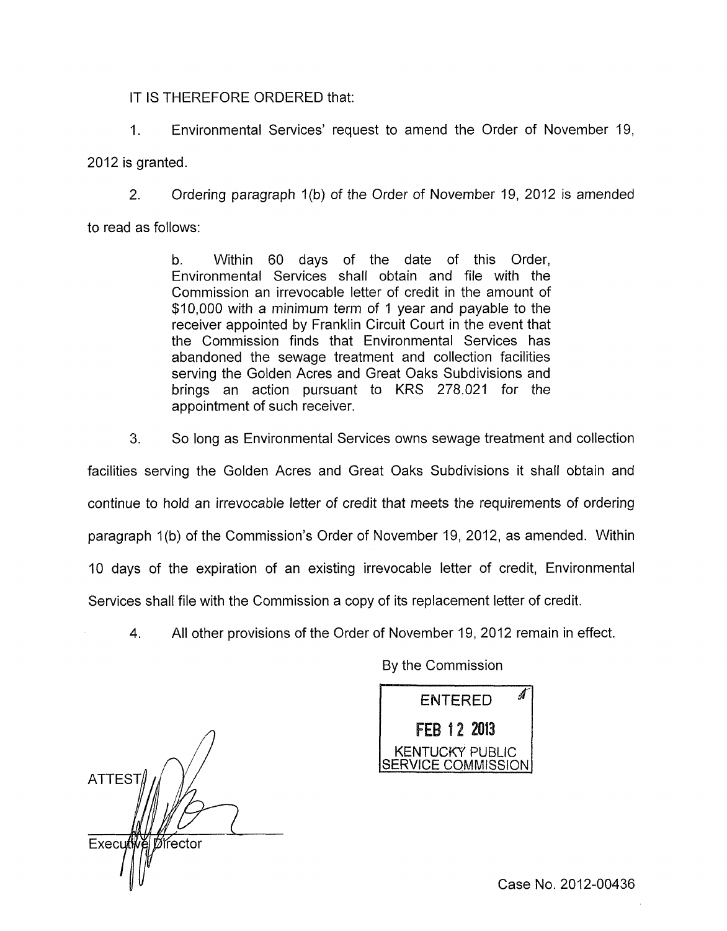IT IS THEREFORE ORDERED that:

I. Environmental Services' request to amend the Order of November 19, 2012 is granted.

2. Ordering paragraph 1(b) of the Order of November 19, 2012 is amended

to read as follows:

b. Within 60 days of the date of this Order, Environmental Services shall obtain and file with the Commission an irrevocable letter of credit in the amount of \$10,000 with a minimum term of 1 year and payable to the receiver appointed by Franklin Circuit Court in the event that the Commission finds that Environmental Services has abandoned the sewage treatment and collection facilities serving the Golden Acres and Great Oaks Subdivisions and brings an action pursuant to KRS 278.021 for the appointment of such receiver.

3. So long as Environmental Services owns sewage treatment and collection

facilities serving the Golden Acres and Great Oaks Subdivisions it shall obtain and continue to hold an irrevocable letter of credit that meets the requirements of ordering paragraph 1(b) of the Commission's Order of November 19, 2012, as amended. Within 10 days of the expiration of an existing irrevocable letter of credit, Environmental Services shall file with the Commission a copy of its replacement letter of credit.

4. All other provisions of the Order of November 19, 2012 remain in effect.

*n*  **ATTEST** Execut Director

By the Commission